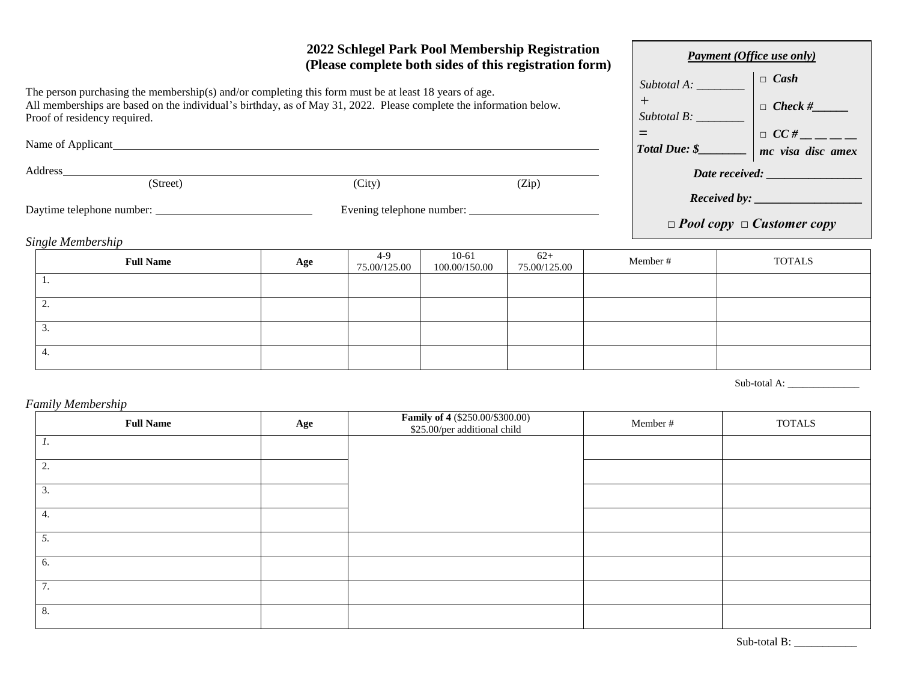| 2022 Schlegel Park Pool Membership Registration<br>(Please complete both sides of this registration form)                                                                                                                                                                                                                                                                                                                                                                                    |                           |                         |                          |                       |          |                                       | <b>Payment (Office use only)</b>             |  |  |
|----------------------------------------------------------------------------------------------------------------------------------------------------------------------------------------------------------------------------------------------------------------------------------------------------------------------------------------------------------------------------------------------------------------------------------------------------------------------------------------------|---------------------------|-------------------------|--------------------------|-----------------------|----------|---------------------------------------|----------------------------------------------|--|--|
| The person purchasing the membership(s) and/or completing this form must be at least 18 years of age.<br>All memberships are based on the individual's birthday, as of May 31, 2022. Please complete the information below.<br>Proof of residency required.<br>Name of Applicant experience of the state of Applicant experience of the state of the state of the state of the state of the state of the state of the state of the state of the state of the state of the state of the state |                           |                         |                          |                       |          |                                       | $\Box$ Cash<br>Subtotal A:<br>$\Box$ Check # |  |  |
| Address                                                                                                                                                                                                                                                                                                                                                                                                                                                                                      |                           |                         |                          |                       |          |                                       |                                              |  |  |
| (Street)                                                                                                                                                                                                                                                                                                                                                                                                                                                                                     |                           | (City)                  |                          | (Zip)                 |          |                                       |                                              |  |  |
| Daytime telephone number:                                                                                                                                                                                                                                                                                                                                                                                                                                                                    | Evening telephone number: |                         |                          |                       |          | $\Box$ Pool copy $\Box$ Customer copy |                                              |  |  |
| Single Membership                                                                                                                                                                                                                                                                                                                                                                                                                                                                            |                           |                         |                          |                       |          |                                       |                                              |  |  |
| <b>Full Name</b>                                                                                                                                                                                                                                                                                                                                                                                                                                                                             | Age                       | $4 - 9$<br>75.00/125.00 | $10-61$<br>100.00/150.00 | $62+$<br>75.00/125.00 | Member # |                                       | <b>TOTALS</b>                                |  |  |
| Ι.                                                                                                                                                                                                                                                                                                                                                                                                                                                                                           |                           |                         |                          |                       |          |                                       |                                              |  |  |
| 2.                                                                                                                                                                                                                                                                                                                                                                                                                                                                                           |                           |                         |                          |                       |          |                                       |                                              |  |  |
| 3.                                                                                                                                                                                                                                                                                                                                                                                                                                                                                           |                           |                         |                          |                       |          |                                       |                                              |  |  |

Sub-total A: \_\_\_\_\_\_\_\_\_\_\_\_\_\_

*Family Membership*

4.

| <b>Full Name</b> | Age | <b>Family of 4</b> (\$250.00/\$300.00)<br>\$25.00/per additional child | Member # | <b>TOTALS</b> |
|------------------|-----|------------------------------------------------------------------------|----------|---------------|
| 1.               |     |                                                                        |          |               |
| 2.               |     |                                                                        |          |               |
| 3.               |     |                                                                        |          |               |
| 4.               |     |                                                                        |          |               |
| 5.               |     |                                                                        |          |               |
| 6.               |     |                                                                        |          |               |
| 7.               |     |                                                                        |          |               |
| 8.               |     |                                                                        |          |               |

Sub-total B: \_\_\_\_\_\_\_\_\_\_\_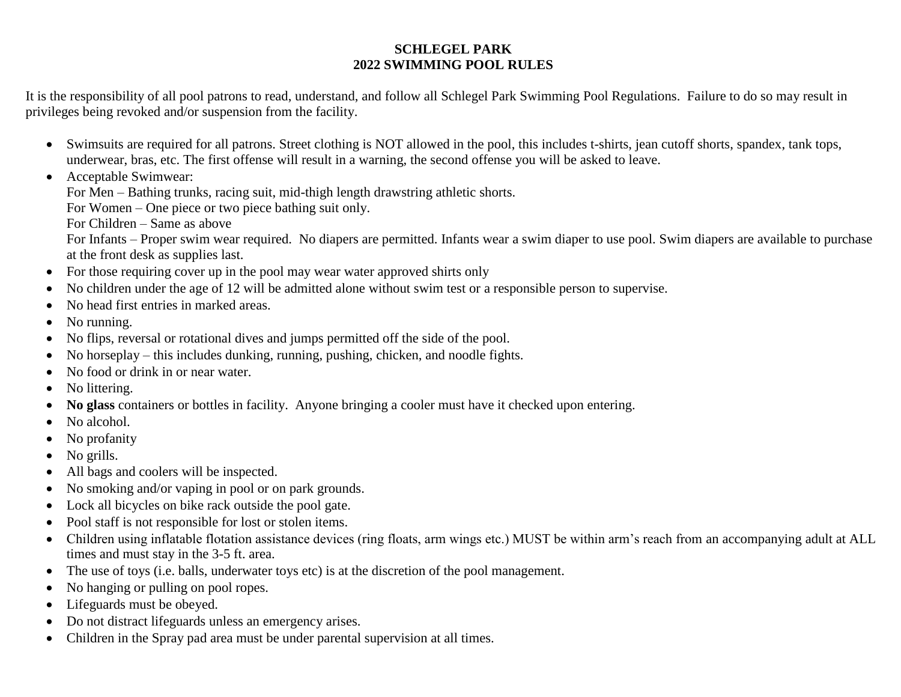## **SCHLEGEL PARK 2022 SWIMMING POOL RULES**

It is the responsibility of all pool patrons to read, understand, and follow all Schlegel Park Swimming Pool Regulations. Failure to do so may result in privileges being revoked and/or suspension from the facility.

- Swimsuits are required for all patrons. Street clothing is NOT allowed in the pool, this includes t-shirts, jean cutoff shorts, spandex, tank tops, underwear, bras, etc. The first offense will result in a warning, the second offense you will be asked to leave.
- Acceptable Swimwear:
	- For Men Bathing trunks, racing suit, mid-thigh length drawstring athletic shorts.

For Women – One piece or two piece bathing suit only.

For Children – Same as above

For Infants – Proper swim wear required. No diapers are permitted. Infants wear a swim diaper to use pool. Swim diapers are available to purchase at the front desk as supplies last.

- For those requiring cover up in the pool may wear water approved shirts only
- No children under the age of 12 will be admitted alone without swim test or a responsible person to supervise.
- No head first entries in marked areas.
- No running.
- No flips, reversal or rotational dives and jumps permitted off the side of the pool.
- No horseplay this includes dunking, running, pushing, chicken, and noodle fights.
- No food or drink in or near water.
- No littering.
- **No glass** containers or bottles in facility. Anyone bringing a cooler must have it checked upon entering.
- No alcohol.
- No profanity
- No grills.
- All bags and coolers will be inspected.
- No smoking and/or vaping in pool or on park grounds.
- Lock all bicycles on bike rack outside the pool gate.
- Pool staff is not responsible for lost or stolen items.
- Children using inflatable flotation assistance devices (ring floats, arm wings etc.) MUST be within arm's reach from an accompanying adult at ALL times and must stay in the 3-5 ft. area.
- The use of toys (i.e. balls, underwater toys etc) is at the discretion of the pool management.
- No hanging or pulling on pool ropes.
- Lifeguards must be obeyed.
- Do not distract lifeguards unless an emergency arises.
- Children in the Spray pad area must be under parental supervision at all times.